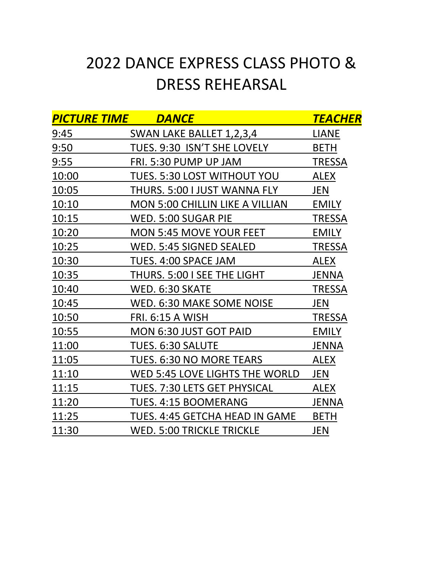## 2022 DANCE EXPRESS CLASS PHOTO & DRESS REHEARSAL

| <b>PICTURE TIME</b> | <b>DANCE</b>                           | TEACHER       |
|---------------------|----------------------------------------|---------------|
| 9:45                | SWAN LAKE BALLET 1,2,3,4               | <b>LIANE</b>  |
| 9:50                | TUES. 9:30 ISN'T SHE LOVELY            | <b>BETH</b>   |
| 9:55                | FRI. 5:30 PUMP UP JAM                  | <b>TRESSA</b> |
| 10:00               | <b>TUES. 5:30 LOST WITHOUT YOU</b>     | <b>ALEX</b>   |
| 10:05               | THURS. 5:00 I JUST WANNA FLY           | JEN           |
| 10:10               | <b>MON 5:00 CHILLIN LIKE A VILLIAN</b> | <b>EMILY</b>  |
| 10:15               | WED. 5:00 SUGAR PIE                    | <b>TRESSA</b> |
| 10:20               | <b>MON 5:45 MOVE YOUR FEET</b>         | <b>EMILY</b>  |
| 10:25               | WED. 5:45 SIGNED SEALED                | <b>TRESSA</b> |
| 10:30               | TUES. 4:00 SPACE JAM                   | <b>ALEX</b>   |
| 10:35               | THURS. 5:00 I SEE THE LIGHT            | <b>JENNA</b>  |
| 10:40               | WED. 6:30 SKATE                        | <b>TRESSA</b> |
| 10:45               | WED. 6:30 MAKE SOME NOISE              | JEN           |
| 10:50               | <b>FRI. 6:15 A WISH</b>                | <b>TRESSA</b> |
| 10:55               | MON 6:30 JUST GOT PAID                 | <b>EMILY</b>  |
| 11:00               | TUES. 6:30 SALUTE                      | <b>JENNA</b>  |
| 11:05               | TUES. 6:30 NO MORE TEARS               | <b>ALEX</b>   |
| 11:10               | WED 5:45 LOVE LIGHTS THE WORLD         | JEN           |
| 11:15               | <b>TUES. 7:30 LETS GET PHYSICAL</b>    | <b>ALEX</b>   |
| 11:20               | TUES. 4:15 BOOMERANG                   | <b>JENNA</b>  |
| 11:25               | TUES. 4:45 GETCHA HEAD IN GAME         | <b>BETH</b>   |
| 11:30               | <b>WED. 5:00 TRICKLE TRICKLE</b>       | <b>JEN</b>    |